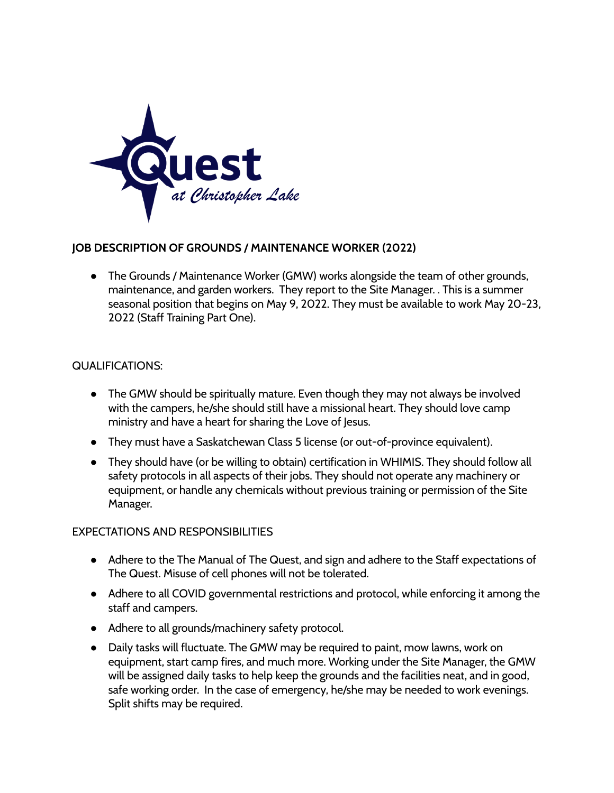

## **JOB DESCRIPTION OF GROUNDS / MAINTENANCE WORKER (2022)**

• The Grounds / Maintenance Worker (GMW) works alongside the team of other grounds, maintenance, and garden workers. They report to the Site Manager. . This is a summer seasonal position that begins on May 9, 2022. They must be available to work May 20-23, 2022 (Staff Training Part One).

## QUALIFICATIONS:

- The GMW should be spiritually mature. Even though they may not always be involved with the campers, he/she should still have a missional heart. They should love camp ministry and have a heart for sharing the Love of Jesus.
- They must have a Saskatchewan Class 5 license (or out-of-province equivalent).
- They should have (or be willing to obtain) certification in WHIMIS. They should follow all safety protocols in all aspects of their jobs. They should not operate any machinery or equipment, or handle any chemicals without previous training or permission of the Site Manager.

## EXPECTATIONS AND RESPONSIBILITIES

- Adhere to the The Manual of The Quest, and sign and adhere to the Staff expectations of The Quest. Misuse of cell phones will not be tolerated.
- Adhere to all COVID governmental restrictions and protocol, while enforcing it among the staff and campers.
- Adhere to all grounds/machinery safety protocol.
- Daily tasks will fluctuate. The GMW may be required to paint, mow lawns, work on equipment, start camp fires, and much more. Working under the Site Manager, the GMW will be assigned daily tasks to help keep the grounds and the facilities neat, and in good, safe working order. In the case of emergency, he/she may be needed to work evenings. Split shifts may be required.